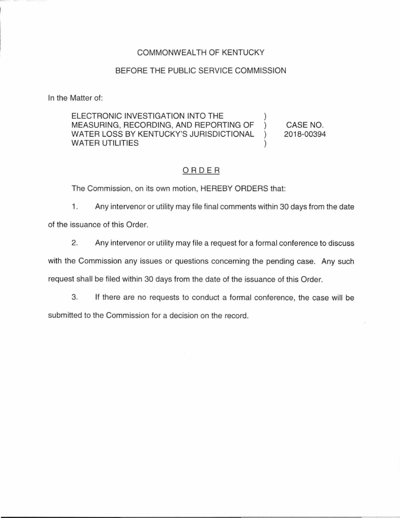## COMMONWEALTH OF KENTUCKY

## BEFORE THE PUBLIC SERVICE COMMISSION

In the Matter of:

ELECTRONIC INVESTIGATION INTO THE MEASURING, RECORDING, AND REPORTING OF WATER LOSS BY KENTUCKY'S JURISDICTIONAL WATER UTILITIES CASE NO. 2018-00394

## ORDER

The Commission, on its own motion, HEREBY ORDERS that:

1. Any intervenor or utility may file final comments within 30 days from the date of the issuance of this Order.

2. Any intervenor or utility may file a request for a formal conference to discuss

with the Commission any issues or questions concerning the pending case. Any such request shall be filed within 30 days from the date of the issuance of this Order.

3. If there are no requests to conduct a formal conference, the case will be submitted to the Commission for a decision on the record.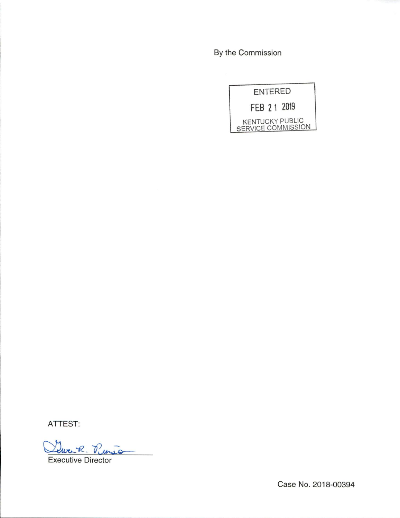By the Commission

| <b>ENTERED</b>                               |
|----------------------------------------------|
| FEB 21 2019                                  |
| <b>KENTUCKY PUBLIC</b><br>SERVICE COMMISSION |

ATTEST:

Dewerk. Penson

Executive Director

Case No. 2018-00394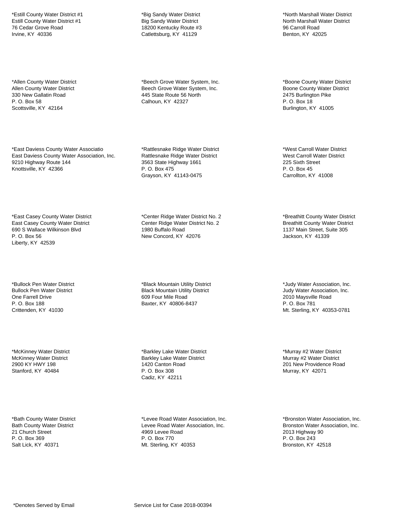\*Estill County Water District #1 Estill County Water District #1 76 Cedar Grove Road Irvine, KY 40336

\*Allen County Water District Allen County Water District 330 New Gallatin Road P. O. Box 58 Scottsville, KY 42164

\*East Daviess County Water Associatio East Daviess County Water Association, Inc. 9210 Highway Route 144 Knottsville, KY 42366

\*East Casey County Water District East Casey County Water District 690 S Wallace Wilkinson Blvd P. O. Box 56 Liberty, KY 42539

\*Bullock Pen Water District Bullock Pen Water District One Farrell Drive P. O. Box 188 Crittenden, KY 41030

\*McKinney Water District McKinney Water District 2900 KY HWY 198 Stanford, KY 40484

\*Bath County Water District Bath County Water District 21 Church Street P. O. Box 369 Salt Lick, KY 40371

\*Big Sandy Water District Big Sandy Water District 18200 Kentucky Route #3 Catlettsburg, KY 41129

\*Beech Grove Water System, Inc. Beech Grove Water System, Inc. 445 State Route 56 North Calhoun, KY 42327

\*Rattlesnake Ridge Water District Rattlesnake Ridge Water District 3563 State Highway 1661 P. O. Box 475 Grayson, KY 41143-0475

\*Center Ridge Water District No. 2 Center Ridge Water District No. 2 1980 Buffalo Road New Concord, KY 42076

\*Black Mountain Utility District Black Mountain Utility District 609 Four Mile Road Baxter, KY 40806-8437

\*Barkley Lake Water District Barkley Lake Water District 1420 Canton Road P. O. Box 308 Cadiz, KY 42211

\*Levee Road Water Association, Inc. Levee Road Water Association, Inc. 4969 Levee Road P. O. Box 770 Mt. Sterling, KY 40353

\*North Marshall Water District North Marshall Water District 96 Carroll Road Benton, KY 42025

\*Boone County Water District Boone County Water District 2475 Burlington Pike P. O. Box 18 Burlington, KY 41005

\*West Carroll Water District West Carroll Water District 225 Sixth Street P. O. Box 45 Carrollton, KY 41008

\*Breathitt County Water District Breathitt County Water District 1137 Main Street, Suite 305 Jackson, KY 41339

\*Judy Water Association, Inc. Judy Water Association, Inc. 2010 Maysville Road P. O. Box 781 Mt. Sterling, KY 40353-0781

\*Murray #2 Water District Murray #2 Water District 201 New Providence Road Murray, KY 42071

\*Bronston Water Association, Inc. Bronston Water Association, Inc. 2013 Highway 90 P. O. Box 243 Bronston, KY 42518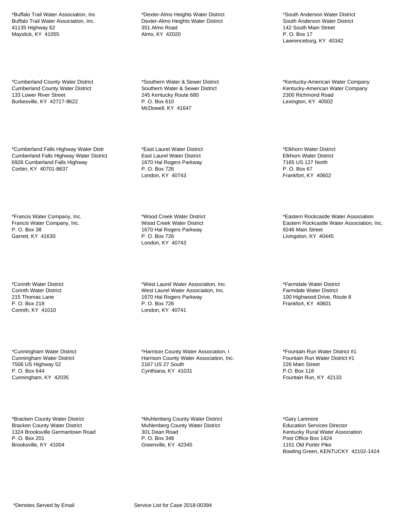\*Buffalo Trail Water Association, Inc Buffalo Trail Water Association, Inc. 41135 Highway 62 Mayslick, KY 41055

\*Cumberland County Water District Cumberland County Water District 133 Lower River Street Burkesville, KY 42717-9622

\*Cumberland Falls Highway Water Distr Cumberland Falls Highway Water District 6926 Cumberland Falls Highway Corbin, KY 40701-8637

\*Francis Water Company, Inc. Francis Water Company, Inc. P. O. Box 38 Garrett, KY 41630

\*Corinth Water District Corinth Water District 215 Thomas Lane P. O. Box 218 Corinth, KY 41010

\*Cunningham Water District Cunningham Water District 7506 US Highway 52 P. O. Box 644 Cunningham, KY 42035

\*Bracken County Water District Bracken County Water District 1324 Brooksville Germantown Road P. O. Box 201 Brooksville, KY 41004

\*Dexter-Almo Heights Water District Dexter-Almo Heights Water District 351 Almo Road Almo, KY 42020

\*Southern Water & Sewer District Southern Water & Sewer District 245 Kentucky Route 680 P. O. Box 610 McDowell, KY 41647

\*East Laurel Water District East Laurel Water District 1670 Hal Rogers Parkway P. O. Box 726 London, KY 40743

\*Wood Creek Water District Wood Creek Water District 1670 Hal Rogers Parkway P. O. Box 726 London, KY 40743

\*West Laurel Water Association, Inc. West Laurel Water Association, Inc. 1670 Hal Rogers Parkway P. O. Box 726 London, KY 40741

\*Harrison County Water Association, I Harrison County Water Association, Inc. 2167 US 27 South Cynthiana, KY 41031

\*Muhlenberg County Water District Muhlenberg County Water District 301 Dean Road P. O. Box 348 Greenville, KY 42345

\*South Anderson Water District South Anderson Water District 142 South Main Street P. O. Box 17 Lawrenceburg, KY 40342

\*Kentucky-American Water Company Kentucky-American Water Company 2300 Richmond Road Lexington, KY 40502

\*Elkhorn Water District Elkhorn Water District 7165 US 127 North P. O. Box 67 Frankfort, KY 40602

\*Eastern Rockcastle Water Association Eastern Rockcastle Water Association, Inc. 9246 Main Street Livingston, KY 40445

\*Farmdale Water District Farmdale Water District 100 Highwood Drive, Route 8 Frankfort, KY 40601

\*Fountain Run Water District #1 Fountain Run Water District #1 226 Main Street P.O. Box 118 Fountain Run, KY 42133

\*Gary Larimore Education Services Director Kentucky Rural Water Association Post Office Box 1424 1151 Old Porter Pike Bowling Green, KENTUCKY 42102-1424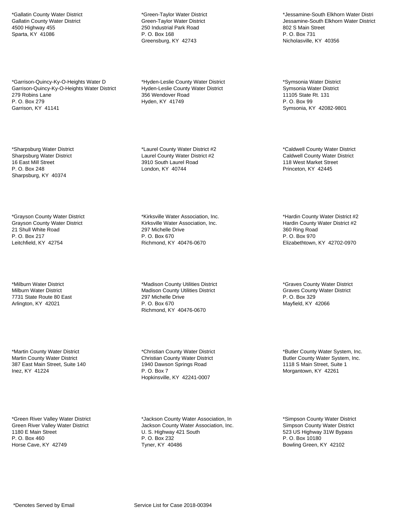\*Gallatin County Water District Gallatin County Water District 4500 Highway 455 Sparta, KY 41086

\*Garrison-Quincy-Ky-O-Heights Water D Garrison-Quincy-Ky-O-Heights Water District 279 Robins Lane P. O. Box 279 Garrison, KY 41141

\*Sharpsburg Water District Sharpsburg Water District 16 East Mill Street P. O. Box 248 Sharpsburg, KY 40374

\*Grayson County Water District Grayson County Water District 21 Shull White Road P. O. Box 217 Leitchfield, KY 42754

\*Milburn Water District Milburn Water District 7731 State Route 80 East Arlington, KY 42021

\*Martin County Water District Martin County Water District 387 East Main Street, Suite 140 Inez, KY 41224

\*Green River Valley Water District Green River Valley Water District 1180 E Main Street P. O. Box 460 Horse Cave, KY 42749

\*Green-Taylor Water District Green-Taylor Water District 250 Industrial Park Road P. O. Box 168 Greensburg, KY 42743

\*Hyden-Leslie County Water District Hyden-Leslie County Water District 356 Wendover Road Hyden, KY 41749

\*Laurel County Water District #2 Laurel County Water District #2 3910 South Laurel Road London, KY 40744

\*Kirksville Water Association, Inc. Kirksville Water Association, Inc. 297 Michelle Drive P. O. Box 670 Richmond, KY 40476-0670

\*Madison County Utilities District Madison County Utilities District 297 Michelle Drive P. O. Box 670 Richmond, KY 40476-0670

\*Christian County Water District Christian County Water District 1940 Dawson Springs Road P. O. Box 7 Hopkinsville, KY 42241-0007

\*Jackson County Water Association, In Jackson County Water Association, Inc. U. S. Highway 421 South P. O. Box 232 Tyner, KY 40486

\*Jessamine-South Elkhorn Water Distri Jessamine-South Elkhorn Water District 802 S Main Street P. O. Box 731 Nicholasville, KY 40356

\*Symsonia Water District Symsonia Water District 11105 State Rt. 131 P. O. Box 99 Symsonia, KY 42082-9801

\*Caldwell County Water District Caldwell County Water District 118 West Market Street Princeton, KY 42445

\*Hardin County Water District #2 Hardin County Water District #2 360 Ring Road P. O. Box 970 Elizabethtown, KY 42702-0970

\*Graves County Water District Graves County Water District P. O. Box 329 Mayfield, KY 42066

\*Butler County Water System, Inc. Butler County Water System, Inc. 1118 S Main Street, Suite 1 Morgantown, KY 42261

\*Simpson County Water District Simpson County Water District 523 US Highway 31W Bypass P. O. Box 10180 Bowling Green, KY 42102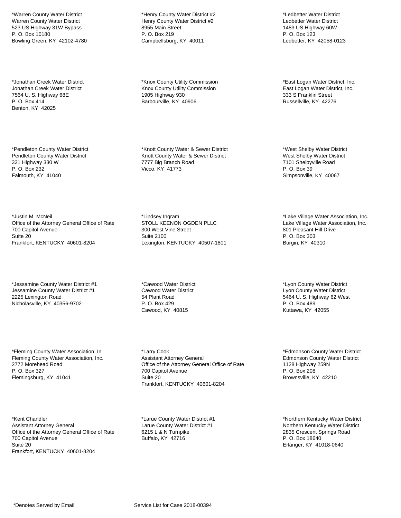\*Warren County Water District Warren County Water District 523 US Highway 31W Bypass P. O. Box 10180 Bowling Green, KY 42102-4780

\*Jonathan Creek Water District Jonathan Creek Water District 7564 U. S. Highway 68E P. O. Box 414 Benton, KY 42025

\*Pendleton County Water District Pendleton County Water District 331 Highway 330 W P. O. Box 232 Falmouth, KY 41040

\*Justin M. McNeil Office of the Attorney General Office of Rate 700 Capitol Avenue Suite 20 Frankfort, KENTUCKY 40601-8204

\*Jessamine County Water District #1 Jessamine County Water District #1 2225 Lexington Road Nicholasville, KY 40356-9702

\*Fleming County Water Association, In Fleming County Water Association, Inc. 2772 Morehead Road P. O. Box 327 Flemingsburg, KY 41041

\*Kent Chandler Assistant Attorney General Office of the Attorney General Office of Rate 700 Capitol Avenue Suite 20 Frankfort, KENTUCKY 40601-8204

\*Henry County Water District #2 Henry County Water District #2 8955 Main Street P. O. Box 219 Campbellsburg, KY 40011

\*Knox County Utility Commission Knox County Utility Commission 1905 Highway 930 Barbourville, KY 40906

\*Knott County Water & Sewer District Knott County Water & Sewer District 7777 Big Branch Road Vicco, KY 41773

\*Lindsey Ingram STOLL KEENON OGDEN PLLC 300 West Vine Street Suite 2100 Lexington, KENTUCKY 40507-1801

\*Cawood Water District Cawood Water District 54 Plant Road P. O. Box 429 Cawood, KY 40815

\*Larry Cook Assistant Attorney General Office of the Attorney General Office of Rate 700 Capitol Avenue Suite 20 Frankfort, KENTUCKY 40601-8204

\*Larue County Water District #1 Larue County Water District #1 6215 L & N Turnpike Buffalo, KY 42716

\*Ledbetter Water District Ledbetter Water District 1483 US Highway 60W P. O. Box 123 Ledbetter, KY 42058-0123

\*East Logan Water District, Inc. East Logan Water District, Inc. 333 S Franklin Street Russellville, KY 42276

\*West Shelby Water District West Shelby Water District 7101 Shelbyville Road P. O. Box 39 Simpsonville, KY 40067

\*Lake Village Water Association, Inc. Lake Village Water Association, Inc. 801 Pleasant Hill Drive P. O. Box 303 Burgin, KY 40310

\*Lyon County Water District Lyon County Water District 5464 U. S. Highway 62 West P. O. Box 489 Kuttawa, KY 42055

\*Edmonson County Water District Edmonson County Water District 1128 Highway 259N P. O. Box 208 Brownsville, KY 42210

\*Northern Kentucky Water District Northern Kentucky Water District 2835 Crescent Springs Road P. O. Box 18640 Erlanger, KY 41018-0640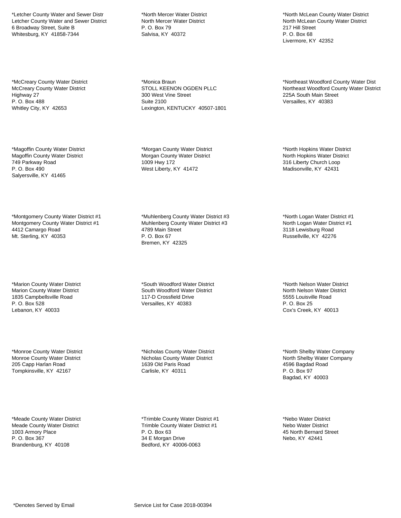\*Letcher County Water and Sewer Distr Letcher County Water and Sewer District 6 Broadway Street, Suite B Whitesburg, KY 41858-7344

\*McCreary County Water District McCreary County Water District Highway 27 P. O. Box 488 Whitley City, KY 42653

\*Magoffin County Water District Magoffin County Water District 749 Parkway Road P. O. Box 490 Salyersville, KY 41465

\*Montgomery County Water District #1 Montgomery County Water District #1 4412 Camargo Road Mt. Sterling, KY 40353

\*Marion County Water District Marion County Water District 1835 Campbellsville Road P. O. Box 528 Lebanon, KY 40033

\*Monroe County Water District Monroe County Water District 205 Capp Harlan Road Tompkinsville, KY 42167

\*Meade County Water District Meade County Water District 1003 Armory Place P. O. Box 367 Brandenburg, KY 40108

\*North Mercer Water District North Mercer Water District P. O. Box 79 Salvisa, KY 40372

\*Monica Braun STOLL KEENON OGDEN PLLC 300 West Vine Street Suite 2100 Lexington, KENTUCKY 40507-1801

\*Morgan County Water District Morgan County Water District 1009 Hwy 172 West Liberty, KY 41472

\*Muhlenberg County Water District #3 Muhlenberg County Water District #3 4789 Main Street P. O. Box 67 Bremen, KY 42325

\*South Woodford Water District South Woodford Water District 117-D Crossfield Drive Versailles, KY 40383

\*Nicholas County Water District Nicholas County Water District 1639 Old Paris Road Carlisle, KY 40311

\*Trimble County Water District #1 Trimble County Water District #1 P. O. Box 63 34 E Morgan Drive Bedford, KY 40006-0063

\*North McLean County Water District North McLean County Water District 217 Hill Street P. O. Box 68 Livermore, KY 42352

\*Northeast Woodford County Water Dist Northeast Woodford County Water District 225A South Main Street Versailles, KY 40383

\*North Hopkins Water District North Hopkins Water District 316 Liberty Church Loop Madisonville, KY 42431

\*North Logan Water District #1 North Logan Water District #1 3118 Lewisburg Road Russellville, KY 42276

\*North Nelson Water District North Nelson Water District 5555 Louisville Road P. O. Box 25 Cox's Creek, KY 40013

\*North Shelby Water Company North Shelby Water Company 4596 Bagdad Road P. O. Box 97 Bagdad, KY 40003

\*Nebo Water District Nebo Water District 45 North Bernard Street Nebo, KY 42441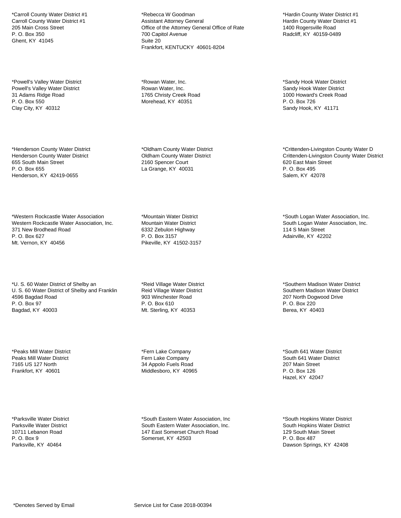\*Carroll County Water District #1 Carroll County Water District #1 205 Main Cross Street P. O. Box 350 Ghent, KY 41045

\*Powell's Valley Water District Powell's Valley Water District 31 Adams Ridge Road P. O. Box 550 Clay City, KY 40312

\*Henderson County Water District Henderson County Water District 655 South Main Street P. O. Box 655 Henderson, KY 42419-0655

\*Western Rockcastle Water Association Western Rockcastle Water Association, Inc. 371 New Brodhead Road P. O. Box 627 Mt. Vernon, KY 40456

\*U. S. 60 Water District of Shelby an U. S. 60 Water District of Shelby and Franklin 4596 Bagdad Road P. O. Box 97 Bagdad, KY 40003

\*Peaks Mill Water District Peaks Mill Water District 7165 US 127 North Frankfort, KY 40601

\*Parksville Water District Parksville Water District 10711 Lebanon Road P. O. Box 9 Parksville, KY 40464

\*Rebecca W Goodman Assistant Attorney General Office of the Attorney General Office of Rate 700 Capitol Avenue Suite 20 Frankfort, KENTUCKY 40601-8204

\*Rowan Water, Inc. Rowan Water, Inc. 1765 Christy Creek Road Morehead, KY 40351

\*Oldham County Water District Oldham County Water District 2160 Spencer Court La Grange, KY 40031

\*Mountain Water District Mountain Water District 6332 Zebulon Highway P. O. Box 3157 Pikeville, KY 41502-3157

\*Reid Village Water District Reid Village Water District 903 Winchester Road P. O. Box 610 Mt. Sterling, KY 40353

\*Fern Lake Company Fern Lake Company 34 Appolo Fuels Road Middlesboro, KY 40965

\*South Eastern Water Association, Inc South Eastern Water Association, Inc. 147 East Somerset Church Road Somerset, KY 42503

\*Hardin County Water District #1 Hardin County Water District #1 1400 Rogersville Road Radcliff, KY 40159-0489

\*Sandy Hook Water District Sandy Hook Water District 1000 Howard's Creek Road P. O. Box 726 Sandy Hook, KY 41171

\*Crittenden-Livingston County Water D Crittenden-Livingston County Water District 620 East Main Street P. O. Box 495 Salem, KY 42078

\*South Logan Water Association, Inc. South Logan Water Association, Inc. 114 S Main Street Adairville, KY 42202

\*Southern Madison Water District Southern Madison Water District 207 North Dogwood Drive P. O. Box 220 Berea, KY 40403

\*South 641 Water District South 641 Water District 207 Main Street P. O. Box 126 Hazel, KY 42047

\*South Hopkins Water District South Hopkins Water District 129 South Main Street P. O. Box 487 Dawson Springs, KY 42408